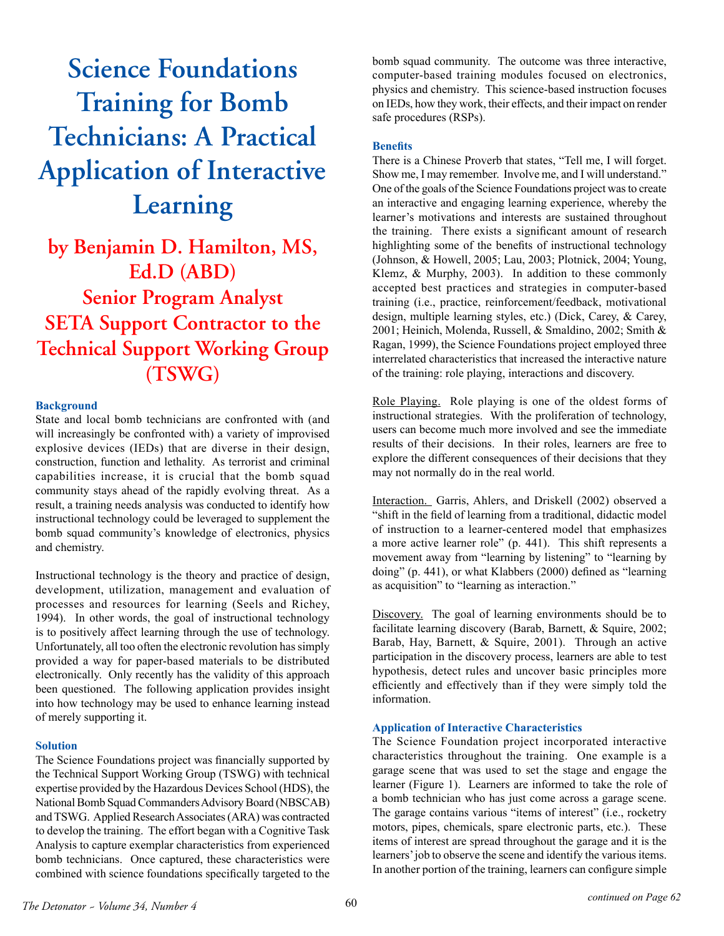# **Science Foundations Training for Bomb Technicians: A Practical Application of Interactive Learning**

**by Benjamin D. Hamilton, MS, Ed.D (ABD) Senior Program Analyst SETA Support Contractor to the Technical Support Working Group (TSWG)**

## **Background**

State and local bomb technicians are confronted with (and will increasingly be confronted with) a variety of improvised explosive devices (IEDs) that are diverse in their design, construction, function and lethality. As terrorist and criminal capabilities increase, it is crucial that the bomb squad community stays ahead of the rapidly evolving threat. As a result, a training needs analysis was conducted to identify how instructional technology could be leveraged to supplement the bomb squad community's knowledge of electronics, physics and chemistry.

Instructional technology is the theory and practice of design, development, utilization, management and evaluation of processes and resources for learning (Seels and Richey, 1994). In other words, the goal of instructional technology is to positively affect learning through the use of technology. Unfortunately, all too often the electronic revolution has simply provided a way for paper-based materials to be distributed electronically. Only recently has the validity of this approach been questioned. The following application provides insight into how technology may be used to enhance learning instead of merely supporting it.

### **Solution**

The Science Foundations project was financially supported by the Technical Support Working Group (TSWG) with technical expertise provided by the Hazardous Devices School (HDS), the National Bomb Squad Commanders Advisory Board (NBSCAB) and TSWG. Applied Research Associates (ARA) was contracted to develop the training. The effort began with a Cognitive Task Analysis to capture exemplar characteristics from experienced bomb technicians. Once captured, these characteristics were combined with science foundations specifically targeted to the bomb squad community. The outcome was three interactive, computer-based training modules focused on electronics, physics and chemistry. This science-based instruction focuses on IEDs, how they work, their effects, and their impact on render safe procedures (RSPs).

#### **Benefits**

There is a Chinese Proverb that states, "Tell me, I will forget. Show me, I may remember. Involve me, and I will understand." One of the goals of the Science Foundations project was to create an interactive and engaging learning experience, whereby the learner's motivations and interests are sustained throughout the training. There exists a significant amount of research highlighting some of the benefits of instructional technology (Johnson, & Howell, 2005; Lau, 2003; Plotnick, 2004; Young, Klemz, & Murphy, 2003). In addition to these commonly accepted best practices and strategies in computer-based training (i.e., practice, reinforcement/feedback, motivational design, multiple learning styles, etc.) (Dick, Carey, & Carey, 2001; Heinich, Molenda, Russell, & Smaldino, 2002; Smith & Ragan, 1999), the Science Foundations project employed three interrelated characteristics that increased the interactive nature of the training: role playing, interactions and discovery.

Role Playing. Role playing is one of the oldest forms of instructional strategies. With the proliferation of technology, users can become much more involved and see the immediate results of their decisions. In their roles, learners are free to explore the different consequences of their decisions that they may not normally do in the real world.

Interaction. Garris, Ahlers, and Driskell (2002) observed a "shift in the field of learning from a traditional, didactic model of instruction to a learner-centered model that emphasizes a more active learner role" (p. 441). This shift represents a movement away from "learning by listening" to "learning by doing" (p. 441), or what Klabbers (2000) defined as "learning as acquisition" to "learning as interaction."

Discovery. The goal of learning environments should be to facilitate learning discovery (Barab, Barnett, & Squire, 2002; Barab, Hay, Barnett, & Squire, 2001). Through an active participation in the discovery process, learners are able to test hypothesis, detect rules and uncover basic principles more efficiently and effectively than if they were simply told the information.

#### **Application of Interactive Characteristics**

The Science Foundation project incorporated interactive characteristics throughout the training. One example is a garage scene that was used to set the stage and engage the learner (Figure 1). Learners are informed to take the role of a bomb technician who has just come across a garage scene. The garage contains various "items of interest" (i.e., rocketry motors, pipes, chemicals, spare electronic parts, etc.). These items of interest are spread throughout the garage and it is the learners' job to observe the scene and identify the various items. In another portion of the training, learners can configure simple